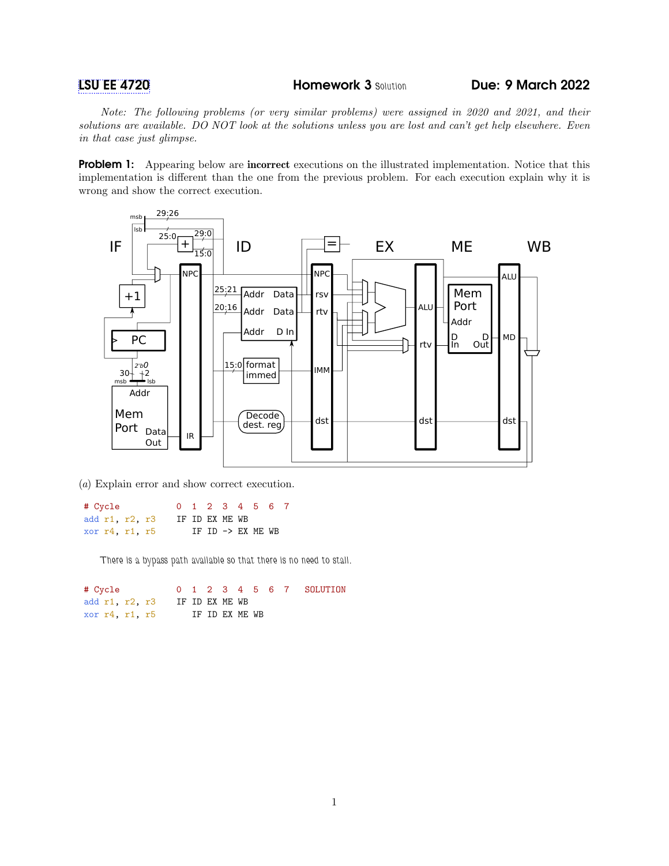[LSU EE 4720](https://www.ece.lsu.edu/ee4720/) **Homework 3 Solution** Due: 9 March 2022

Note: The following problems (or very similar problems) were assigned in 2020 and 2021, and their solutions are available. DO NOT look at the solutions unless you are lost and can't get help elsewhere. Even in that case just glimpse.

**Problem 1:** Appearing below are **incorrect** executions on the illustrated implementation. Notice that this implementation is different than the one from the previous problem. For each execution explain why it is wrong and show the correct execution.



(a) Explain error and show correct execution.

# Cycle 0 1 2 3 4 5 6 7 add r1, r2, r3 IF ID EX ME WB xor r4, r1, r5 IF ID -> EX ME WB

There is a bypass path available so that there is no need to stall.

# Cycle 0 1 2 3 4 5 6 7 SOLUTION add r1, r2, r3 IF ID EX ME WB xor r4, r1, r5 IF ID EX ME WB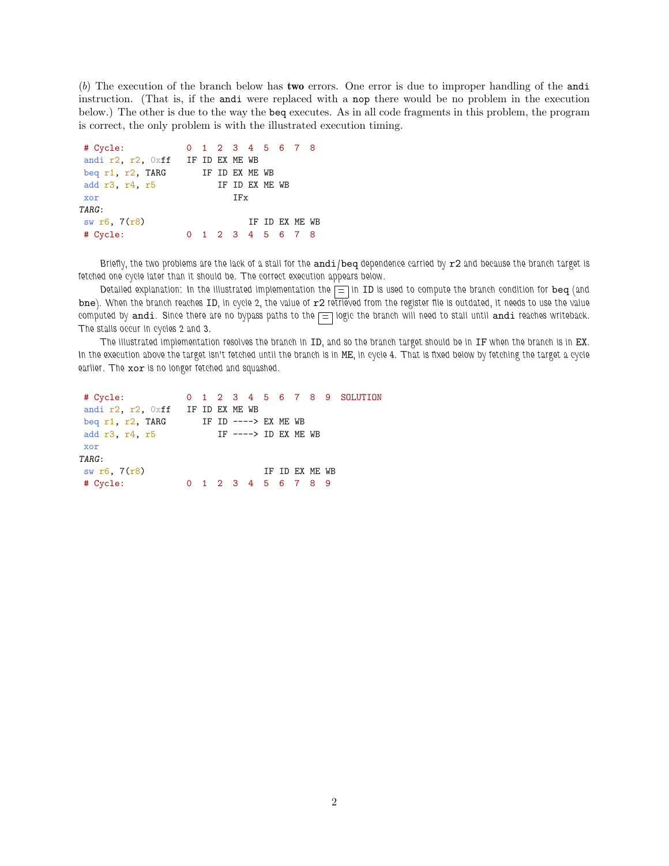(b) The execution of the branch below has two errors. One error is due to improper handling of the andi instruction. (That is, if the andi were replaced with a nop there would be no problem in the execution below.) The other is due to the way the beq executes. As in all code fragments in this problem, the program is correct, the only problem is with the illustrated execution timing.

| # Cycle:                                 |  | 0 1 2 3 4 5 6 7 8 |  |  |  |                 |  |  |  |
|------------------------------------------|--|-------------------|--|--|--|-----------------|--|--|--|
| andi $r2$ , $r2$ , $0xff$ IF ID EX ME WB |  |                   |  |  |  |                 |  |  |  |
| beg r1, r2, TARG                         |  | IF ID EX ME WB    |  |  |  |                 |  |  |  |
| add r3, r4, r5                           |  | IF ID EX ME WB    |  |  |  |                 |  |  |  |
|                                          |  | TFx               |  |  |  |                 |  |  |  |
| xor                                      |  |                   |  |  |  |                 |  |  |  |
| TARG:                                    |  |                   |  |  |  |                 |  |  |  |
| sw $r6, 7(r8)$                           |  |                   |  |  |  | TF TD FX MF. WB |  |  |  |

Briefly, the two problems are the lack of a stall for the andi/beq dependence carried by r2 and because the branch target is fetched one cycle later than it should be. The correct execution appears below.

Detailed explanation: In the illustrated implementation the  $\equiv$  in ID is used to compute the branch condition for beq (and bne). When the branch reaches ID, in cycle 2, the value of r2 retrieved from the register file is outdated, it needs to use the value computed by andi. Since there are no bypass paths to the  $\equiv$  logic the branch will need to stall until andi reaches writeback. The stalls occur in cycles 2 and 3.

The illustrated implementation resolves the branch in ID, and so the branch target should be in IF when the branch is in EX. In the execution above the target isn't fetched until the branch is in ME, in cycle 4. That is fixed below by fetching the target a cycle earlier. The xor is no longer fetched and squashed.

```
# Cycle: 0 1 2 3 4 5 6 7 8 9 SOLUTION
andi r2, r2, 0xff IF ID EX ME WB
beq r1, r2, TARG IF ID ----> EX ME WB add r3, r4, r5 IF ----> ID EX ME
                        IF ----> ID EX ME WB
xor
TARG:
sw \space \text{r6}, \space 7(\text{r8}) IF ID EX ME WB
# Cycle: 0 1 2 3 4 5 6 7 8 9
```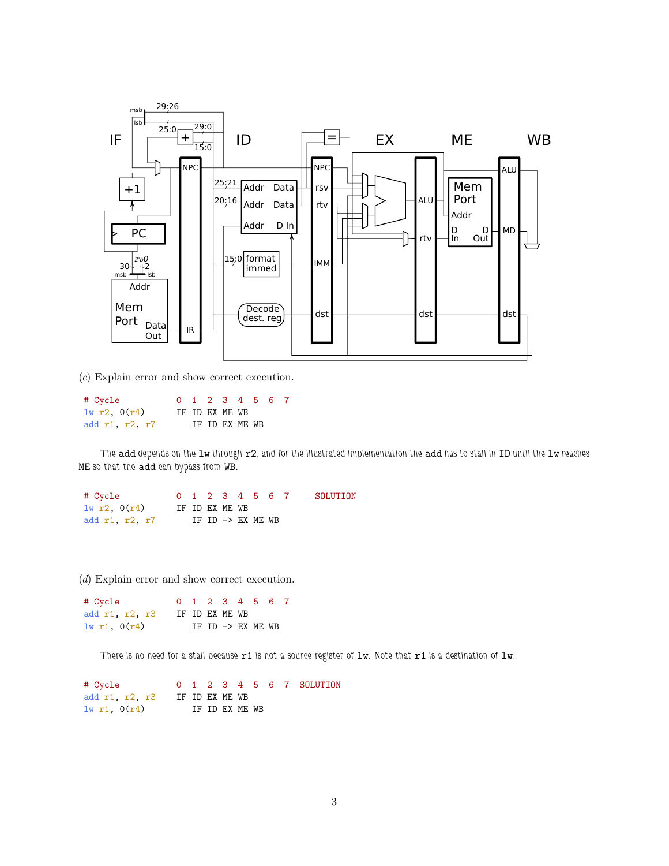

(c) Explain error and show correct execution.

| # Cycle        |                |                |  | 0 1 2 3 4 5 6 7 |  |
|----------------|----------------|----------------|--|-----------------|--|
| 1w r2, 0(r4)   | IF ID EX ME WB |                |  |                 |  |
| add r1, r2, r7 |                | IF ID EX ME WB |  |                 |  |

The add depends on the lw through  $r2$ , and for the illustrated implementation the add has to stall in ID until the lw reaches ME so that the add can bypass from WB.

# Cycle 0 1 2 3 4 5 6 7 SOLUTION  $\frac{1}{w}$  r2,  $0(r4)$  IF ID EX ME WB add r1, r2, r7 IF ID -> EX ME WB

(d) Explain error and show correct execution.

| # Cycle          |  |                | 0 1 2 3 4 5 6 7                        |  |
|------------------|--|----------------|----------------------------------------|--|
| add r1, r2, r3   |  | IF ID EX ME WB |                                        |  |
| $1w$ r1, $0(r4)$ |  |                | $TF$ $TD$ $\rightarrow$ $FX$ $MF$ $WR$ |  |

There is no need for a stall because r1 is not a source register of lw. Note that r1 is a destination of lw.

| # Cycle                |                |  |                |  |  | 0 1 2 3 4 5 6 7 SOLUTION |
|------------------------|----------------|--|----------------|--|--|--------------------------|
| add $r1$ , $r2$ , $r3$ | IF ID EX ME WB |  |                |  |  |                          |
| $1w$ r1, $0(r4)$       |                |  | IF ID EX ME WB |  |  |                          |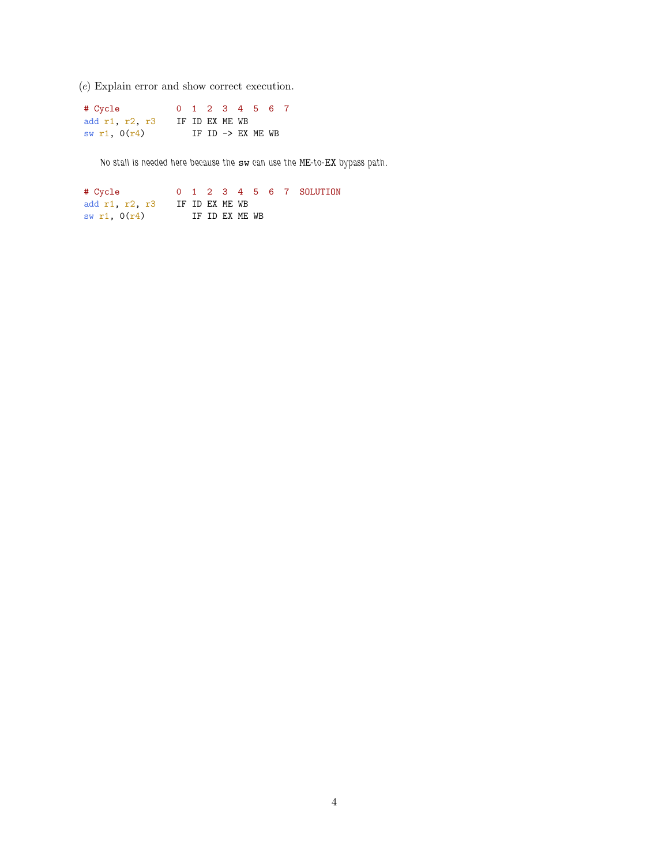(e) Explain error and show correct execution.

| # Cycle        |                |  |  | 0 1 2 3 4 5 6 7              |  |
|----------------|----------------|--|--|------------------------------|--|
| add r1, r2, r3 | IF ID EX ME WB |  |  |                              |  |
| sw r1, $0(r4)$ |                |  |  | IF ID $\rightarrow$ EX ME WB |  |

No stall is needed here because the sw can use the ME-to-EX bypass path.

# Cycle 0 1 2 3 4 5 6 7 SOLUTION add r1, r2, r3 IF ID EX ME WB  $sw r1, 0(r4)$  IF ID EX ME WB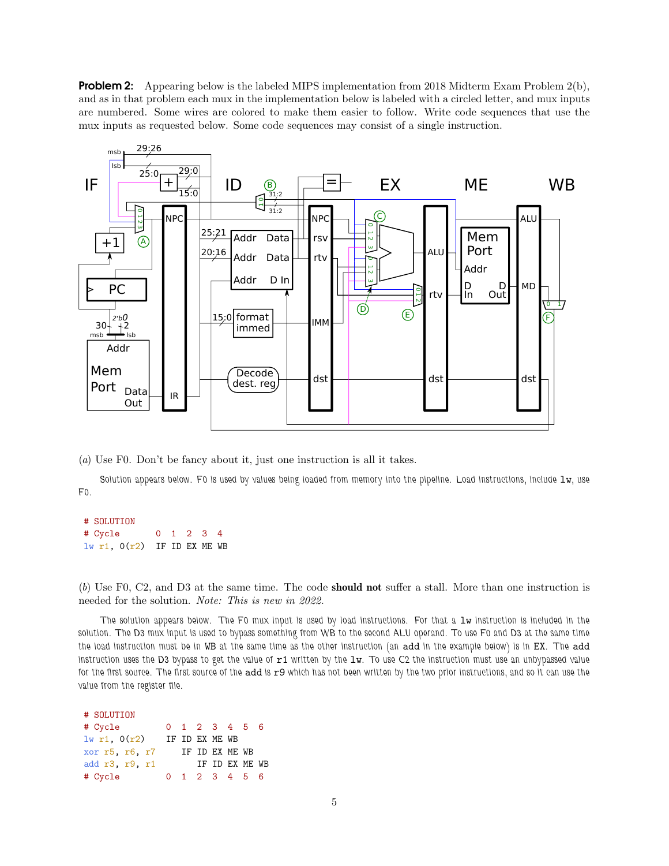**Problem 2:** Appearing below is the labeled MIPS implementation from 2018 Midterm Exam Problem 2(b), and as in that problem each mux in the implementation below is labeled with a circled letter, and mux inputs are numbered. Some wires are colored to make them easier to follow. Write code sequences that use the mux inputs as requested below. Some code sequences may consist of a single instruction.



(a) Use F0. Don't be fancy about it, just one instruction is all it takes.

Solution appears below. Fo is used by values being loaded from memory into the pipeline. Load instructions, include lw, use F0.

# SOLUTION # Cycle 0 1 2 3 4  $lw$  r1,  $O(r2)$  IF ID EX ME WB

(b) Use F0, C2, and D3 at the same time. The code should not suffer a stall. More than one instruction is needed for the solution. Note: This is new in 2022.

The solution appears below. The F0 mux input is used by load instructions. For that a lw instruction is included in the solution. The D3 mux input is used to bypass something from WB to the second ALU operand. To use F0 and D3 at the same time the load instruction must be in WB at the same time as the other instruction (an add in the example below) is in EX. The add instruction uses the D3 bypass to get the value of  $r1$  written by the  $1w$ . To use C2 the instruction must use an unbypassed value for the first source. The first source of the add is r9 which has not been written by the two prior instructions, and so it can use the value from the register file.

# SOLUTION # Cycle 0 1 2 3 4 5 6  $lw$  r1,  $O(r2)$  IF ID EX ME WB xor r5, r6, r7 IF ID EX ME WB add r3, r9, r1 IF ID EX ME WB # Cycle 0 1 2 3 4 5 6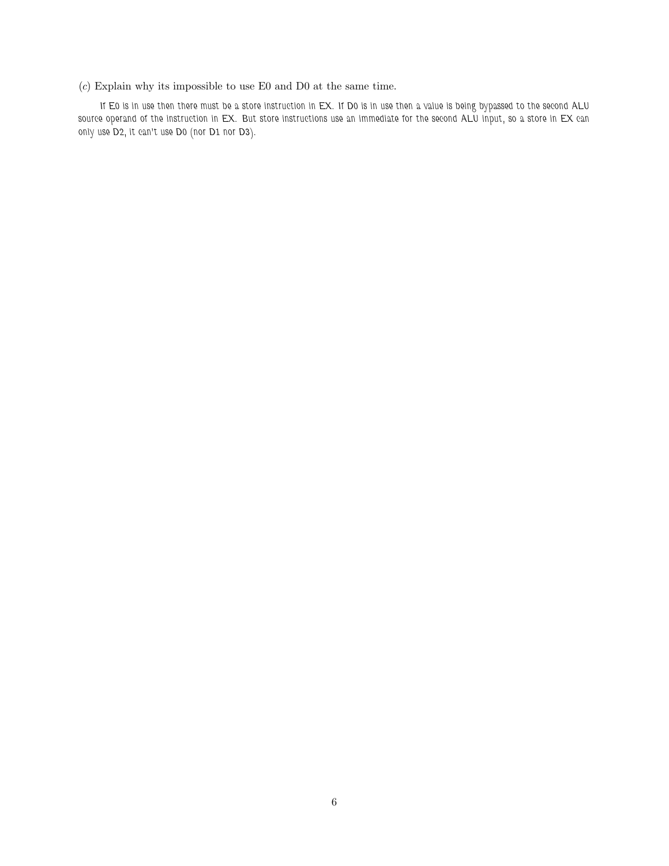## $(c)$  Explain why its impossible to use E0 and D0 at the same time.

If E0 is in use then there must be a store instruction in EX. If D0 is in use then a value is being bypassed to the second ALU source operand of the instruction in EX. But store instructions use an immediate for the second ALU input, so a store in EX can only use D2, it can't use D0 (nor D1 nor D3).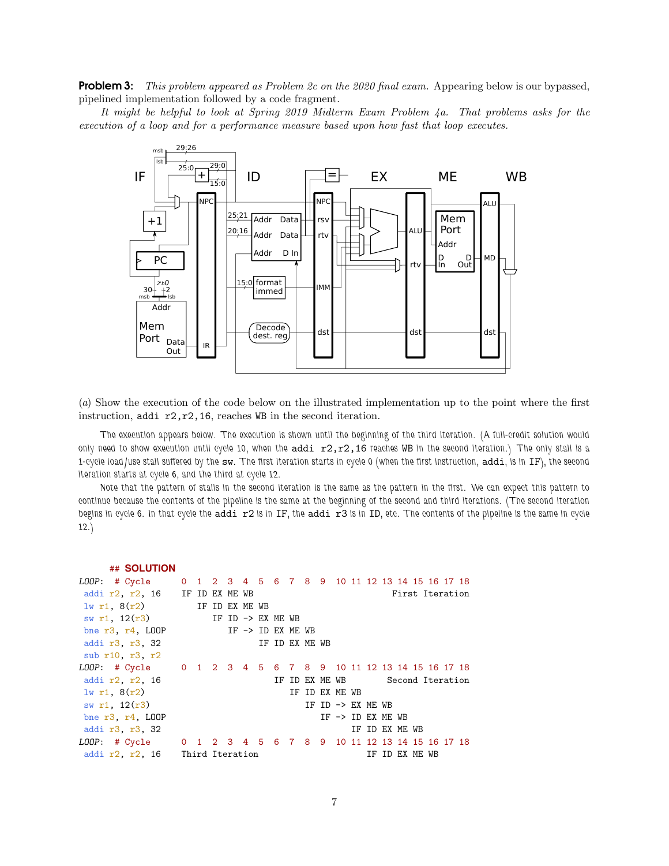**Problem 3:** This problem appeared as Problem 2c on the 2020 final exam. Appearing below is our bypassed, pipelined implementation followed by a code fragment.

It might be helpful to look at Spring 2019 Midterm Exam Problem 4a. That problems asks for the execution of a loop and for a performance measure based upon how fast that loop executes.



(a) Show the execution of the code below on the illustrated implementation up to the point where the first instruction, addi r2,r2,16, reaches WB in the second iteration.

The execution appears below. The execution is shown until the beginning of the third iteration. (A full-credit solution would only need to show execution until cycle 10, when the addi  $r2, r2, 16$  reaches WB in the second iteration.) The only stall is a 1-cycle load/use stall suffered by the sw. The first iteration starts in cycle 0 (when the first instruction, addi, is in IF), the second iteration starts at cycle 6, and the third at cycle 12.

Note that the pattern of stalls in the second iteration is the same as the pattern in the first. We can expect this pattern to continue because the contents of the pipeline is the same at the beginning of the second and third iterations. (The second iteration begins in cycle 6. In that cycle the addi r2 is in IF, the addi r3 is in ID, etc. The contents of the pipeline is the same in cycle 12.)

| ## SOLUTION                                                  |  |                   |  |  |                |                              |                |  |                                 |  |  |
|--------------------------------------------------------------|--|-------------------|--|--|----------------|------------------------------|----------------|--|---------------------------------|--|--|
| LOOP: # Cycle 0 1 2 3 4 5 6 7 8 9 10 11 12 13 14 15 16 17 18 |  |                   |  |  |                |                              |                |  |                                 |  |  |
| addi $r2$ , $r2$ , 16 IF ID EX ME WB                         |  |                   |  |  |                |                              |                |  | First Iteration                 |  |  |
| $1w r1$ , $8(r2)$ IF ID EX ME WB                             |  |                   |  |  |                |                              |                |  |                                 |  |  |
| sw r1, $12(r3)$ IF ID -> EX ME WB                            |  |                   |  |  |                |                              |                |  |                                 |  |  |
| bne $r3, r4, L00P$                                           |  | IF -> ID EX ME WB |  |  |                |                              |                |  |                                 |  |  |
| addi r3, r3, 32                                              |  |                   |  |  | IF ID EX ME WB |                              |                |  |                                 |  |  |
| sub r10, r3, r2                                              |  |                   |  |  |                |                              |                |  |                                 |  |  |
| LOOP: # Cycle 0 1 2 3 4 5 6 7 8 9 10 11 12 13 14 15 16 17 18 |  |                   |  |  |                |                              |                |  |                                 |  |  |
| addi r2, r2, 16                                              |  |                   |  |  |                |                              |                |  | IF ID EX ME WB Second Iteration |  |  |
| $1w$ r1, $8(r2)$                                             |  |                   |  |  |                | IF ID EX ME WB               |                |  |                                 |  |  |
| sw r1, $12(r3)$                                              |  |                   |  |  |                | IF ID $\rightarrow$ EX ME WB |                |  |                                 |  |  |
| bne $r3$ , $r4$ , LOOP                                       |  |                   |  |  |                | IF $\rightarrow$ ID EX ME WB |                |  |                                 |  |  |
| addi r3, r3, 32                                              |  |                   |  |  |                |                              | IF ID EX ME WB |  |                                 |  |  |
| LOOP: # Cycle 0 1 2 3 4 5 6 7 8 9 10 11 12 13 14 15 16 17 18 |  |                   |  |  |                |                              |                |  |                                 |  |  |
| addi r2, r2, 16<br>Third Iteration                           |  |                   |  |  |                |                              |                |  | IF ID EX ME WB                  |  |  |